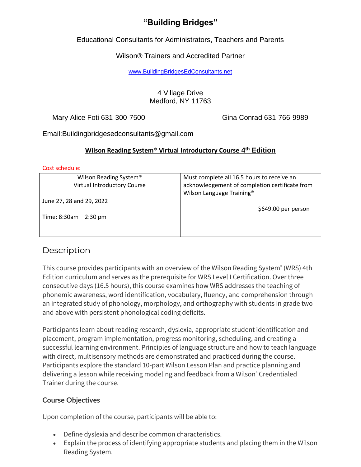# **"Building Bridges"**

Educational Consultants for Administrators, Teachers and Parents

## Wilson® Trainers and Accredited Partner

[www.BuildingBridgesEdConsultants.net](http://www.buildingbridgesedconsultants.net/)

### 4 Village Drive Medford, NY 11763

Mary Alice Foti 631-300-7500 Gina Conrad 631-766-9989

Email:Buildingbridgesedconsultants@gmail.com

## **Wilson Reading System® Virtual Introductory Course 4 th Edition**

#### Cost schedule:

| Wilson Reading System <sup>®</sup><br>Virtual Introductory Course | Must complete all 16.5 hours to receive an<br>acknowledgement of completion certificate from |  |  |
|-------------------------------------------------------------------|----------------------------------------------------------------------------------------------|--|--|
| June 27, 28 and 29, 2022                                          | Wilson Language Training <sup>®</sup>                                                        |  |  |
| Time: $8:30am - 2:30 pm$                                          | \$649.00 per person                                                                          |  |  |
|                                                                   |                                                                                              |  |  |

# **Description**

This course provides participants with an overview of the Wilson Reading System® (WRS) 4th Edition curriculum and serves as the prerequisite for WRS Level I Certification. Over three consecutive days (16.5 hours), this course examines how WRS addresses the teaching of phonemic awareness, word identification, vocabulary, fluency, and comprehension through an integrated study of phonology, morphology, and orthography with students in grade two and above with persistent phonological coding deficits.

Participants learn about reading research, dyslexia, appropriate student identification and placement, program implementation, progress monitoring, scheduling, and creating a successful learning environment. Principles of language structure and how to teach language with direct, multisensory methods are demonstrated and practiced during the course. Participants explore the standard 10-part Wilson Lesson Plan and practice planning and delivering a lesson while receiving modeling and feedback from a Wilson® Credentialed Trainer during the course.

# **Course Objectives**

Upon completion of the course, participants will be able to:

- Define dyslexia and describe common characteristics.
- Explain the process of identifying appropriate students and placing them in the Wilson Reading System.